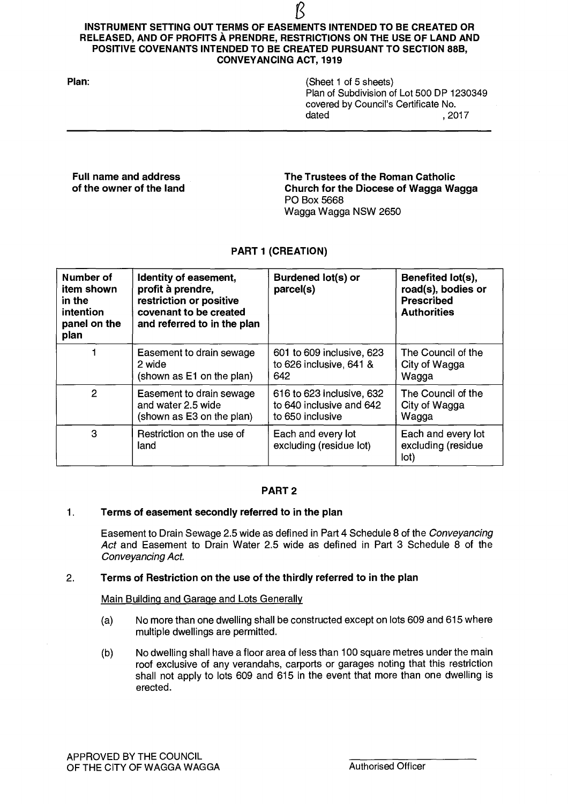# $\overline{\mathcal{B}}$ **INSTRUMENT SETTING OUT TERMS OF EASEMENTS INTENDED TO BE CREATED OR RELEASED, AND OF PROFITS À PRENDRE, RESTRICTIONS ON THE USE OF LAND AND POSITIVE COVENANTS INTENDED TO BE CREATED PURSUANT TO SECTION 88B, CONVEYANCING ACT, 1919**

| Plan: | (Sheet 1 of 5 sheets)                     |        |
|-------|-------------------------------------------|--------|
|       | Plan of Subdivision of Lot 500 DP 1230349 |        |
|       | covered by Council's Certificate No.      |        |
|       | dated                                     | . 2017 |

**Full name and address The Trustees of the Roman Catholic of the owner of the land Church for the Diocese of Wagga Wagga**  PO Box 5668 Wagga Wagga NSW 2650

# **PART 1 (CREATION)**

| Number of<br>item shown<br>in the<br>intention<br>panel on the<br>plan | Identity of easement,<br>profit à prendre,<br>restriction or positive<br>covenant to be created<br>and referred to in the plan | Burdened lot(s) or<br>parcel(s)               | Benefited lot(s),<br>road(s), bodies or<br><b>Prescribed</b><br><b>Authorities</b> |
|------------------------------------------------------------------------|--------------------------------------------------------------------------------------------------------------------------------|-----------------------------------------------|------------------------------------------------------------------------------------|
|                                                                        | Easement to drain sewage                                                                                                       | 601 to 609 inclusive, 623                     | The Council of the                                                                 |
|                                                                        | 2 wide                                                                                                                         | to 626 inclusive, 641 &                       | City of Wagga                                                                      |
|                                                                        | (shown as E1 on the plan)                                                                                                      | 642                                           | Wagga                                                                              |
| 2                                                                      | Easement to drain sewage                                                                                                       | 616 to 623 inclusive, 632                     | The Council of the                                                                 |
|                                                                        | and water 2.5 wide                                                                                                             | to 640 inclusive and 642                      | City of Wagga                                                                      |
|                                                                        | (shown as E3 on the plan)                                                                                                      | to 650 inclusive                              | Wagga                                                                              |
| 3                                                                      | Restriction on the use of<br>land                                                                                              | Each and every lot<br>excluding (residue lot) | Each and every lot<br>excluding (residue<br>lot)                                   |

## **PART 2**

## **1. Terms of easement secondly referred to in the plan**

Easement to Drain Sewage 2.5 wide as defined in Part 4 Schedule 8 of the Conveyancing Act and Easement to Drain Water 2.5 wide as defined in Part 3 Schedule 8 of the Conveyancing Act.

## **2. Terms of Restriction on the use of the thirdly referred to in the plan**

Main Building and Garage and Lots Generally

- (a) No more than one dwelling shall be constructed except on lots 609 and 615 where multiple dwellings are permitted.
- (b) No dwelling shall have a floor area of less than 100 square metres under the main roof exclusive of any verandahs, carports or garages noting that this restriction shall not apply to lots 609 and 615 in the event that more than one dwelling is erected.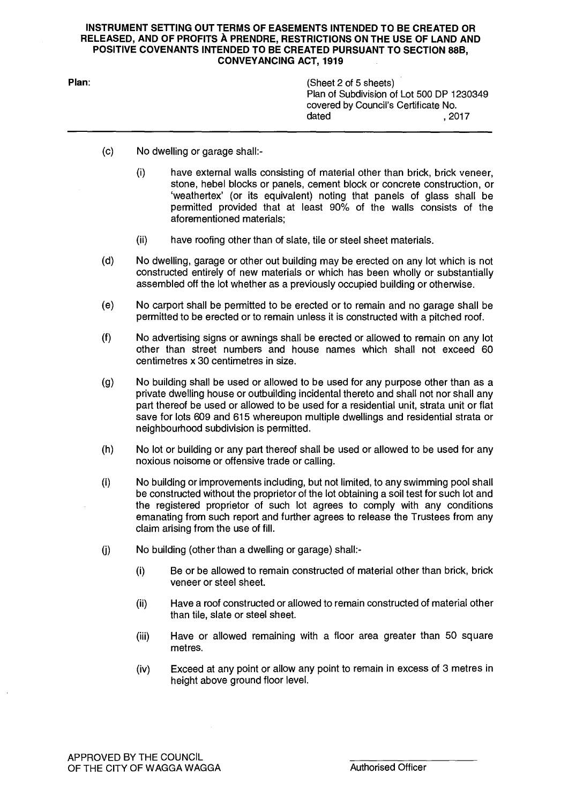#### **INSTRUMENT SETTING OUT TERMS OF EASEMENTS INTENDED TO BE CREATED OR RELEASED, AND OF PROFITS A PRENDRE, RESTRICTIONS ON THE USE OF LAND AND POSITIVE COVENANTS INTENDED TO BE CREATED PURSUANT TO SECTION 88B, CONVEYANCING ACT, 1919**

**Plan:** (Sheet 2 of 5 sheets) Plan of Subdivision of Lot 500 DP 1230349 covered by Council's Certificate No. dated , 2017

- (c) No dwelling or garage shall:-
	- (i) have external walls consisting of material other than brick, brick veneer, stone, hebel blocks or panels, cement block or concrete construction, or `weathertex' (or its equivalent) noting that panels of glass shall be permitted provided that at least 90% of the walls consists of the aforementioned materials;
	- (ii) have roofing other than of slate, tile or steel sheet materials.
- $(d)$ No dwelling, garage or other out building may be erected on any lot which is not constructed entirely of new materials or which has been wholly or substantially assembled off the lot whether as a previously occupied building or otherwise.
- $(e)$ No carport shall be permitted to be erected or to remain and no garage shall be permitted to be erected or to remain unless it is constructed with a pitched roof.
- $(f)$ No advertising signs or awnings shall be erected or allowed to remain on any lot other than street numbers and house names which shall not exceed 60 centimetres x 30 centimetres in size.
- No building shall be used or allowed to be used for any purpose other than as a  $(q)$ private dwelling house or outbuilding incidental thereto and shall not nor shall any part thereof be used or allowed to be used for a residential unit, strata unit or flat save for lots 609 and 615 whereupon multiple dwellings and residential strata or neighbourhood subdivision is permitted.
- No lot or building or any part thereof shall be used or allowed to be used for any  $(h)$ noxious noisome or offensive trade or calling.
- $(i)$ No building or improvements including, but not limited, to any swimming pool shall be constructed without the proprietor of the lot obtaining a soil test for such lot and the registered proprietor of such lot agrees to comply with any conditions emanating from such report and further agrees to release the Trustees from any claim arising from the use of fill.
- (j) No building (other than a dwelling or garage) shall:-
	- **(I)** Be or be allowed to remain constructed of material other than brick, brick veneer or steel sheet.
	- (ii) Have a roof constructed or allowed to remain constructed of material other than tile, slate or steel sheet.
	- (iii) Have or allowed remaining with a floor area greater than 50 square metres.
	- (iv) Exceed at any point or allow any point to remain in excess of 3 metres in height above ground floor level.